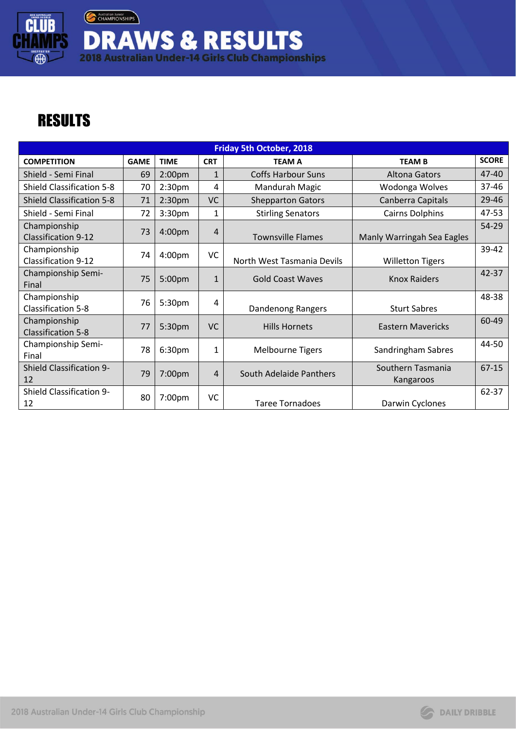Australian Junior **DRAWS & RESULTS**<br>2018 Australian Under-14 Girls Club Championships

## **RESULTS**

**CLUB** 

 $\oplus$ 

| <b>Friday 5th October, 2018</b>            |             |                    |              |                            |                                |              |  |  |
|--------------------------------------------|-------------|--------------------|--------------|----------------------------|--------------------------------|--------------|--|--|
| <b>COMPETITION</b>                         | <b>GAME</b> | <b>TIME</b>        | <b>CRT</b>   | <b>TEAM A</b>              | <b>TEAM B</b>                  | <b>SCORE</b> |  |  |
| Shield - Semi Final                        | 69          | 2:00 <sub>pm</sub> | $\mathbf{1}$ | <b>Coffs Harbour Suns</b>  | Altona Gators                  | 47-40        |  |  |
| <b>Shield Classification 5-8</b>           | 70          | 2:30 <sub>pm</sub> | 4            | Mandurah Magic             | Wodonga Wolves                 | 37-46        |  |  |
| <b>Shield Classification 5-8</b>           | 71          | 2:30 <sub>pm</sub> | <b>VC</b>    | <b>Shepparton Gators</b>   | Canberra Capitals              | 29-46        |  |  |
| Shield - Semi Final                        | 72          | 3:30 <sub>pm</sub> | 1            | <b>Stirling Senators</b>   | <b>Cairns Dolphins</b>         | 47-53        |  |  |
| Championship<br><b>Classification 9-12</b> | 73          | 4:00pm             | 4            | <b>Townsville Flames</b>   | Manly Warringah Sea Eagles     | 54-29        |  |  |
| Championship<br>Classification 9-12        | 74          | 4:00 <sub>pm</sub> | VC           | North West Tasmania Devils | <b>Willetton Tigers</b>        | 39-42        |  |  |
| Championship Semi-<br>Final                | 75          | 5:00pm             | $\mathbf{1}$ | <b>Gold Coast Waves</b>    | <b>Knox Raiders</b>            | 42-37        |  |  |
| Championship<br>Classification 5-8         | 76          | 5:30 <sub>pm</sub> | 4            | Dandenong Rangers          | <b>Sturt Sabres</b>            | 48-38        |  |  |
| Championship<br><b>Classification 5-8</b>  | 77          | 5:30pm             | <b>VC</b>    | <b>Hills Hornets</b>       | Eastern Mavericks              | 60-49        |  |  |
| Championship Semi-<br>Final                | 78          | 6:30pm             | 1            | <b>Melbourne Tigers</b>    | Sandringham Sabres             | 44-50        |  |  |
| <b>Shield Classification 9-</b><br>12      | 79          | 7:00pm             | 4            | South Adelaide Panthers    | Southern Tasmania<br>Kangaroos | $67 - 15$    |  |  |
| Shield Classification 9-<br>12             | 80          | 7:00 <sub>pm</sub> | VC           | <b>Taree Tornadoes</b>     | Darwin Cyclones                | 62-37        |  |  |

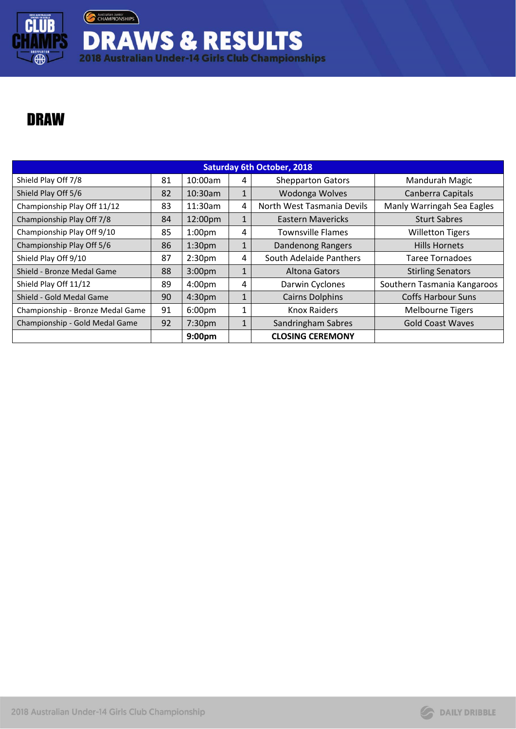

Australian Junior **DRAWS & RESULTS**<br>2018 Australian Under-14 Girls Club Championships

## DRAW

| <b>Saturday 6th October, 2018</b> |    |                    |              |                            |                             |  |  |  |
|-----------------------------------|----|--------------------|--------------|----------------------------|-----------------------------|--|--|--|
| Shield Play Off 7/8               | 81 | 10:00am            | 4            | <b>Shepparton Gators</b>   | Mandurah Magic              |  |  |  |
| Shield Play Off 5/6               | 82 | $10:30$ am         |              | Wodonga Wolves             | Canberra Capitals           |  |  |  |
| Championship Play Off 11/12       | 83 | 11:30am            | 4            | North West Tasmania Devils | Manly Warringah Sea Eagles  |  |  |  |
| Championship Play Off 7/8         | 84 | 12:00pm            | $\mathbf{1}$ | <b>Eastern Mavericks</b>   | <b>Sturt Sabres</b>         |  |  |  |
| Championship Play Off 9/10        | 85 | 1:00 <sub>pm</sub> | 4            | Townsville Flames          | <b>Willetton Tigers</b>     |  |  |  |
| Championship Play Off 5/6         | 86 | 1:30 <sub>pm</sub> | $\mathbf{1}$ | Dandenong Rangers          | <b>Hills Hornets</b>        |  |  |  |
| Shield Play Off 9/10              | 87 | 2:30 <sub>pm</sub> | 4            | South Adelaide Panthers    | <b>Taree Tornadoes</b>      |  |  |  |
| Shield - Bronze Medal Game        | 88 | 3:00 <sub>pm</sub> | 1            | Altona Gators              | <b>Stirling Senators</b>    |  |  |  |
| Shield Play Off 11/12             | 89 | 4:00 <sub>pm</sub> | 4            | Darwin Cyclones            | Southern Tasmania Kangaroos |  |  |  |
| Shield - Gold Medal Game          | 90 | 4:30pm             | $\mathbf{1}$ | <b>Cairns Dolphins</b>     | <b>Coffs Harbour Suns</b>   |  |  |  |
| Championship - Bronze Medal Game  | 91 | 6:00 <sub>pm</sub> | 1            | Knox Raiders               | <b>Melbourne Tigers</b>     |  |  |  |
| Championship - Gold Medal Game    | 92 | 7:30pm             | $\mathbf{1}$ | Sandringham Sabres         | <b>Gold Coast Waves</b>     |  |  |  |
|                                   |    | 9:00 <sub>pm</sub> |              | <b>CLOSING CEREMONY</b>    |                             |  |  |  |